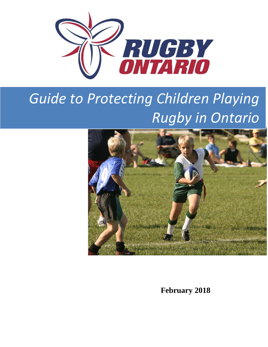

# *Guide to Protecting Children Playing Rugby in Ontario*



**February 2018**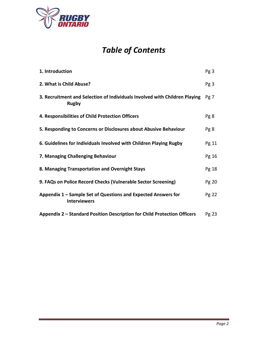

## *Table of Contents*

| 1. Introduction                                                                            | Pg <sub>3</sub> |
|--------------------------------------------------------------------------------------------|-----------------|
| 2. What is Child Abuse?                                                                    | Pg3             |
| 3. Recruitment and Selection of Individuals Involved with Children Playing<br><b>Rugby</b> | Pg <sub>7</sub> |
| 4. Responsibilities of Child Protection Officers                                           | Pg8             |
| 5. Responding to Concerns or Disclosures about Abusive Behaviour                           | Pg 8            |
| 6. Guidelines for Individuals Involved with Children Playing Rugby                         | Pg 11           |
| 7. Managing Challenging Behaviour                                                          | Pg 16           |
| 8. Managing Transportation and Overnight Stays                                             | Pg 18           |
| 9. FAQs on Police Record Checks (Vulnerable Sector Screening)                              | Pg 20           |
| Appendix 1 – Sample Set of Questions and Expected Answers for<br><b>Interviewers</b>       | Pg 22           |
| Appendix 2 - Standard Position Description for Child Protection Officers                   | Pg 23           |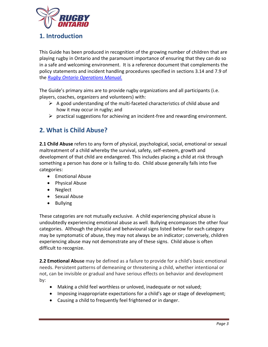

## **1. Introduction**

This Guide has been produced in recognition of the growing number of children that are playing rugby in Ontario and the paramount importance of ensuring that they can do so in a safe and welcoming environment. It is a reference document that complements the policy statements and incident handling procedures specified in sections 3.14 and 7.9 of the *[Rugby Ontario Operations](http://www.rugbyontario.com/content_page/10018061/) Manual.*

The Guide's primary aims are to provide rugby organizations and all participants (i.e. players, coaches, organizers and volunteers) with:

- $\triangleright$  A good understanding of the multi-faceted characteristics of child abuse and how it may occur in rugby; and
- $\triangleright$  practical suggestions for achieving an incident-free and rewarding environment.

## **2. What is Child Abuse?**

**2.1 Child Abuse** refers to any form of physical, psychological, social, emotional or sexual maltreatment of a child whereby the survival, safety, self-esteem, growth and development of that child are endangered. This includes placing a child at risk through something a person has done or is failing to do. Child abuse generally falls into five categories:

- Emotional Abuse
- Physical Abuse
- Neglect
- Sexual Abuse
- Bullying

These categories are not mutually exclusive. A child experiencing physical abuse is undoubtedly experiencing emotional abuse as well. Bullying encompasses the other four categories. Although the physical and behavioural signs listed below for each category may be symptomatic of abuse, they may not always be an indicator; conversely, children experiencing abuse may not demonstrate any of these signs. Child abuse is often difficult to recognize.

**2.2 Emotional Abuse** may be defined as a failure to provide for a child's basic emotional needs. Persistent patterns of demeaning or threatening a child, whether intentional or not, can be invisible or gradual and have serious effects on behavior and development by:

- Making a child feel worthless or unloved, inadequate or not valued;
- Imposing inappropriate expectations for a child's age or stage of development;
- Causing a child to frequently feel frightened or in danger.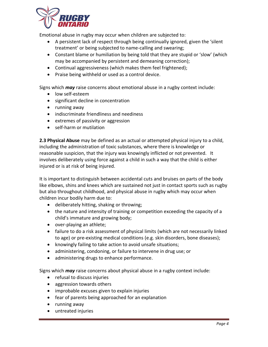

Emotional abuse in rugby may occur when children are subjected to:

- A persistent lack of respect through being continually ignored, given the 'silent treatment' or being subjected to name-calling and swearing;
- Constant blame or humiliation by being told that they are stupid or 'slow' (which may be accompanied by persistent and demeaning correction);
- Continual aggressiveness (which makes them feel frightened);
- Praise being withheld or used as a control device.

Signs which *may* raise concerns about emotional abuse in a rugby context include:

- low self-esteem
- significant decline in concentration
- running away
- indiscriminate friendliness and neediness
- extremes of passivity or aggression
- self-harm or mutilation

**2.3 Physical Abuse** may be defined as an actual or attempted physical injury to a child, including the administration of toxic substances, where there is knowledge or reasonable suspicion, that the injury was knowingly inflicted or not prevented. It involves deliberately using force against a child in such a way that the child is either injured or is at risk of being injured.

It is important to distinguish between accidental cuts and bruises on parts of the body like elbows, shins and knees which are sustained not just in contact sports such as rugby but also throughout childhood, and physical abuse in rugby which may occur when children incur bodily harm due to:

- deliberately hitting, shaking or throwing;
- the nature and intensity of training or competition exceeding the capacity of a child's immature and growing body;
- over-playing an athlete;
- failure to do a risk assessment of physical limits (which are not necessarily linked to age) or pre-existing medical conditions (e.g. skin disorders, bone diseases);
- knowingly failing to take action to avoid unsafe situations;
- administering, condoning, or failure to intervene in drug use; or
- administering drugs to enhance performance.

Signs which *may* raise concerns about physical abuse in a rugby context include:

- refusal to discuss injuries
- aggression towards others
- improbable excuses given to explain injuries
- fear of parents being approached for an explanation
- running away
- untreated injuries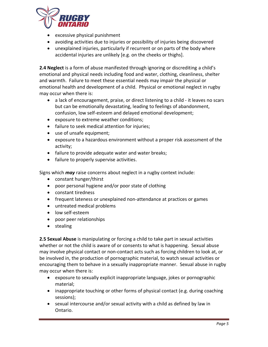

- excessive physical punishment
- avoiding activities due to injuries or possibility of injuries being discovered
- unexplained injuries, particularly if recurrent or on parts of the body where accidental injuries are unlikely [e.g. on the cheeks or thighs].

**2.4 Neglect** is a form of abuse manifested through ignoring or discrediting a child's emotional and physical needs including food and water, clothing, cleanliness, shelter and warmth. Failure to meet these essential needs may impair the physical or emotional health and development of a child. Physical or emotional neglect in rugby may occur when there is:

- a lack of encouragement, praise, or direct listening to a child it leaves no scars but can be emotionally devastating, leading to feelings of abandonment, confusion, low self-esteem and delayed emotional development;
- exposure to extreme weather conditions;
- failure to seek medical attention for injuries;
- use of unsafe equipment;
- exposure to a hazardous environment without a proper risk assessment of the activity;
- failure to provide adequate water and water breaks;
- failure to properly supervise activities.

Signs which *may* raise concerns about neglect in a rugby context include:

- constant hunger/thirst
- poor personal hygiene and/or poor state of clothing
- constant tiredness
- frequent lateness or unexplained non-attendance at practices or games
- untreated medical problems
- low self-esteem
- poor peer relationships
- stealing

**2.5 Sexual Abuse** is manipulating or forcing a child to take part in sexual activities whether or not the child is aware of or consents to what is happening. Sexual abuse may involve physical contact or non-contact acts such as forcing children to look at, or be involved in, the production of pornographic material, to watch sexual activities or encouraging them to behave in a sexually inappropriate manner. Sexual abuse in rugby may occur when there is:

- exposure to sexually explicit inappropriate language, jokes or pornographic material;
- inappropriate touching or other forms of physical contact (e.g. during coaching sessions);
- sexual intercourse and/or sexual activity with a child as defined by law in Ontario.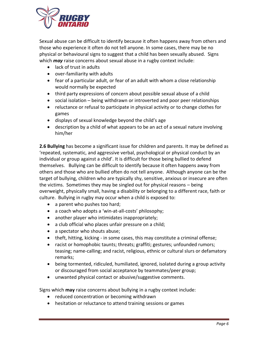

Sexual abuse can be difficult to identify because it often happens away from others and those who experience it often do not tell anyone. In some cases, there may be no physical or behavioural signs to suggest that a child has been sexually abused. Signs which *may* raise concerns about sexual abuse in a rugby context include:

- lack of trust in adults
- over-familiarity with adults
- fear of a particular adult, or fear of an adult with whom a close relationship would normally be expected
- third party expressions of concern about possible sexual abuse of a child
- social isolation being withdrawn or introverted and poor peer relationships
- reluctance or refusal to participate in physical activity or to change clothes for games
- displays of sexual knowledge beyond the child's age
- description by a child of what appears to be an act of a sexual nature involving him/her

**2.6 Bullying** has become a significant issue for children and parents. It may be defined as 'repeated, systematic, and aggressive verbal, psychological or physical conduct by an individual or group against a child'. It is difficult for those being bullied to defend themselves. Bullying can be difficult to identify because it often happens away from others and those who are bullied often do not tell anyone. Although anyone can be the target of bullying, children who are typically shy, sensitive, anxious or insecure are often the victims. Sometimes they may be singled out for physical reasons – being overweight, physically small, having a disability or belonging to a different race, faith or culture. Bullying in rugby may occur when a child is exposed to:

- a parent who pushes too hard;
- a coach who adopts a 'win-at-all-costs' philosophy;
- another player who intimidates inappropriately;
- a club official who places unfair pressure on a child;
- a spectator who shouts abuse;
- theft, hitting, kicking in some cases, this may constitute a criminal offense;
- racist or homophobic taunts; threats; graffiti; gestures; unfounded rumors; teasing; name-calling; and racist, religious, ethnic or cultural slurs or defamatory remarks;
- being tormented, ridiculed, humiliated, ignored, isolated during a group activity or discouraged from social acceptance by teammates/peer group;
- unwanted physical contact or abusive/suggestive comments.

Signs which **may** raise concerns about bullying in a rugby context include:

- reduced concentration or becoming withdrawn
- hesitation or reluctance to attend training sessions or games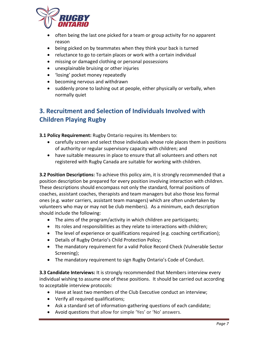

- often being the last one picked for a team or group activity for no apparent reason
- being picked on by teammates when they think your back is turned
- reluctance to go to certain places or work with a certain individual
- missing or damaged clothing or personal possessions
- unexplainable bruising or other injuries
- 'losing' pocket money repeatedly
- becoming nervous and withdrawn
- suddenly prone to lashing out at people, either physically or verbally, when normally quiet

## **3. Recruitment and Selection of Individuals Involved with Children Playing Rugby**

**3.1 Policy Requirement:** Rugby Ontario requires its Members to:

- carefully screen and select those individuals whose role places them in positions of authority or regular supervisory capacity with children; and
- have suitable measures in place to ensure that all volunteers and others not registered with Rugby Canada are suitable for working with children.

**3.2 Position Descriptions:** To achieve this policy aim, it is strongly recommended that a position description be prepared for every position involving interaction with children. These descriptions should encompass not only the standard, formal positions of coaches, assistant coaches, therapists and team managers but also those less formal ones (e.g. water carriers, assistant team managers) which are often undertaken by volunteers who may or may not be club members). As a minimum, each description should include the following:

- The aims of the program/activity in which children are participants;
- Its roles and responsibilities as they relate to interactions with children;
- The level of experience or qualifications required (e.g. coaching certification);
- Details of Rugby Ontario's Child Protection Policy;
- The mandatory requirement for a valid Police Record Check (Vulnerable Sector Screening);
- The mandatory requirement to sign Rugby Ontario's Code of Conduct.

**3.3 Candidate Interviews:** It is strongly recommended that Members interview every individual wishing to assume one of these positions. It should be carried out according to acceptable interview protocols:

- Have at least two members of the Club Executive conduct an interview;
- Verify all required qualifications;
- Ask a standard set of information-gathering questions of each candidate;
- Avoid questions that allow for simple 'Yes' or 'No' answers.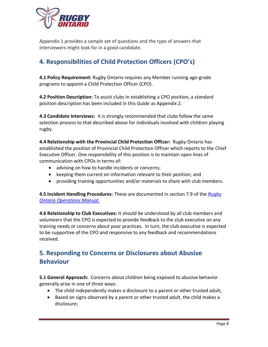

Appendix 1 provides a sample set of questions and the type of answers that interviewers might look for in a good candidate.

## **4. Responsibilities of Child Protection Officers (CPO's)**

**4.1 Policy Requirement:** Rugby Ontario requires any Member running age-grade programs to appoint a Child Protection Officer (CPO).

**4.2 Position Description:** To assist clubs in establishing a CPO position, a standard position description has been included in this Guide as Appendix 2.

**4.3 Candidate Interviews:** It is strongly recommended that clubs follow the same selection process to that described above for individuals involved with children playing rugby.

**4.4 Relationship with the Provincial Child Protection Officer:** Rugby Ontario has established the position of Provincial Child Protection Officer which reports to the Chief Executive Officer. One responsibility of this position is to maintain open lines of communication with CPOs in terms of:

- advising on how to handle incidents or concerns;
- keeping them current on information relevant to their position; and
- providing training opportunities and/or materials to share with club members.

**4.5 Incident Handling Procedures:** These are documented in section 7.9 of the *[Rugby](http://www.rugbyontario.com/content_page/10018061/)  [Ontario Operations](http://www.rugbyontario.com/content_page/10018061/) Manual.*

**4.6 Relationship to Club Executives:** It should be understood by all club members and volunteers that the CPO is expected to provide feedback to the club executive on any training needs or concerns about poor practices. In turn, the club executive is expected to be supportive of the CPO and responsive to any feedback and recommendations received.

## **5. Responding to Concerns or Disclosures about Abusive Behaviour**

**5.1 General Approach:** Concerns about children being exposed to abusive behavior generally arise in one of three ways:

- The child independently makes a disclosure to a parent or other trusted adult;
- Based on signs observed by a parent or other trusted adult, the child makes a disclosure;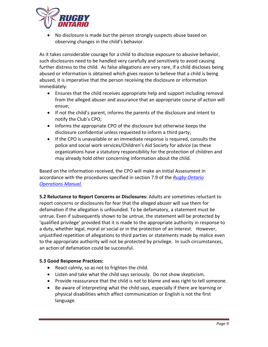

• No disclosure is made but the person strongly suspects abuse based on observing changes in the child's behavior.

As it takes considerable courage for a child to disclose exposure to abusive behavior, such disclosures need to be handled very carefully and sensitively to avoid causing further distress to the child. As false allegations are very rare, if a child discloses being abused or information is obtained which gives reason to believe that a child is being abused, it is imperative that the person receiving the disclosure or information immediately:

- Ensures that the child receives appropriate help and support including removal from the alleged abuser and assurance that an appropriate course of action will ensue;
- If not the child's parent, informs the parents of the disclosure and intent to notify the Club's CPO;
- Informs the appropriate CPO of the disclosure but otherwise keeps the disclosure confidential unless requested to inform a third party;
- If the CPO is unavailable or an immediate response is required, consults the police and social work services/Children's Aid Society for advice (as these organizations have a statutory responsibility for the protection of children and may already hold other concerning information about the child.

Based on the information received, the CPO will make an Initial Assessment in accordance with the procedures specified in section 7.9 of the *[Rugby Ontario](http://www.rugbyontario.com/content_page/10018061/)  [Operations](http://www.rugbyontario.com/content_page/10018061/) Manual.*

**5.2 Reluctance to Report Concerns or Disclosures:** Adults are sometimes reluctant to report concerns or disclosures for fear that the alleged abuser will sue them for defamation if the allegation is unfounded. To be defamatory, a statement must be untrue. Even if subsequently shown to be untrue, the statement will be protected by 'qualified privilege' provided that it is made to the appropriate authority in response to a duty, whether legal, moral or social or in the protection of an interest. However, unjustified repetition of allegations to third parties or statements made by malice even to the appropriate authority will not be protected by privilege. In such circumstances, an action of defamation could be successful.

### **5.3 Good Response Practices:**

- React calmly, so as not to frighten the child.
- Listen and take what the child says seriously. Do not show skepticism.
- Provide reassurance that the child is not to blame and was right to tell someone.
- Be aware of interpreting what the child says, especially if there are learning or physical disabilities which affect communication or English is not the first language.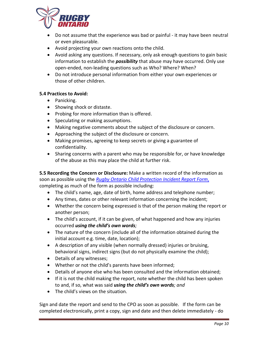

- Do not assume that the experience was bad or painful it may have been neutral or even pleasurable.
- Avoid projecting your own reactions onto the child.
- Avoid asking any questions. If necessary, only ask enough questions to gain basic information to establish the *possibility* that abuse may have occurred. Only use open-ended, non-leading questions such as Who? Where? When?
- Do not introduce personal information from either your own experiences or those of other children.

#### **5.4 Practices to Avoid:**

- Panicking.
- Showing shock or distaste.
- Probing for more information than is offered.
- Speculating or making assumptions.
- Making negative comments about the subject of the disclosure or concern.
- Approaching the subject of the disclosure or concern.
- Making promises, agreeing to keep secrets or giving a guarantee of confidentiality.
- Sharing concerns with a parent who may be responsible for, or have knowledge of the abuse as this may place the child at further risk.

**5.5 Recording the Concern or Disclosure:** Make a written record of the information as soon as possible using the *[Rugby Ontario Child Protection Incident Report](http://www.rugbyontario.com/content_page/10034575/) Form*, completing as much of the form as possible including:

- The child's name, age, date of birth, home address and telephone number;
- Any times, dates or other relevant information concerning the incident;
- Whether the concern being expressed is that of the person making the report or another person;
- The child's account, if it can be given, of what happened and how any injuries occurred *using the child's own words;*
- The nature of the concern (include all of the information obtained during the initial account e.g. time, date, location);
- A description of any visible (when normally dressed) injuries or bruising, behavioral signs, indirect signs (but do not physically examine the child);
- Details of any witnesses;
- Whether or not the child's parents have been informed;
- Details of anyone else who has been consulted and the information obtained;
- If it is not the child making the report, note whether the child has been spoken to and, if so, what was said *using the child's own words; and*
- The child's views on the situation.

Sign and date the report and send to the CPO as soon as possible. If the form can be completed electronically, print a copy, sign and date and then delete immediately - do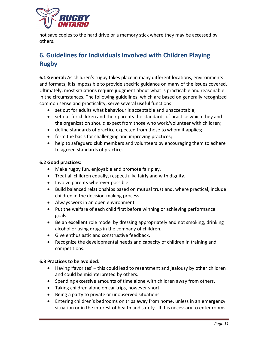

not save copies to the hard drive or a memory stick where they may be accessed by others.

## **6. Guidelines for Individuals Involved with Children Playing Rugby**

**6.1 General:** As children's rugby takes place in many different locations, environments and formats, it is impossible to provide specific guidance on many of the issues covered. Ultimately, most situations require judgment about what is practicable and reasonable in the circumstances. The following guidelines, which are based on generally recognized common sense and practicality, serve several useful functions:

- set out for adults what behaviour is acceptable and unacceptable;
- set out for children and their parents the standards of practice which they and the organization should expect from those who work/volunteer with children;
- define standards of practice expected from those to whom it applies;
- form the basis for challenging and improving practices;
- help to safeguard club members and volunteers by encouraging them to adhere to agreed standards of practice.

### **6.2 Good practices:**

- Make rugby fun, enjoyable and promote fair play.
- Treat all children equally, respectfully, fairly and with dignity.
- Involve parents wherever possible.
- Build balanced relationships based on mutual trust and, where practical, include children in the decision-making process.
- Always work in an open environment.
- Put the welfare of each child first before winning or achieving performance goals.
- Be an excellent role model by dressing appropriately and not smoking, drinking alcohol or using drugs in the company of children.
- Give enthusiastic and constructive feedback.
- Recognize the developmental needs and capacity of children in training and competitions.

### **6.3 Practices to be avoided:**

- Having 'favorites' this could lead to resentment and jealousy by other children and could be misinterpreted by others.
- Spending excessive amounts of time alone with children away from others.
- Taking children alone on car trips, however short.
- Being a party to private or unobserved situations.
- Entering children's bedrooms on trips away from home, unless in an emergency situation or in the interest of health and safety. If it is necessary to enter rooms,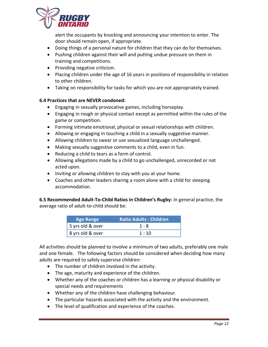

alert the occupants by knocking and announcing your intention to enter. The door should remain open, if appropriate.

- Doing things of a personal nature for children that they can do for themselves.
- Pushing children against their will and putting undue pressure on them in training and competitions.
- Providing negative criticism.
- Placing children under the age of 16 years in positions of responsibility in relation to other children.
- Taking on responsibility for tasks for which you are not appropriately trained.

### **6.4 Practices that are NEVER condoned:**

- Engaging in sexually provocative games, including horseplay.
- Engaging in rough or physical contact except as permitted within the rules of the game or competition.
- Forming intimate emotional, physical or sexual relationships with children.
- Allowing or engaging in touching a child in a sexually suggestive manner.
- Allowing children to swear or use sexualized language unchallenged.
- Making sexually suggestive comments to a child, even in fun.
- Reducing a child to tears as a form of control.
- Allowing allegations made by a child to go unchallenged, unrecorded or not acted upon.
- Inviting or allowing children to stay with you at your home.
- Coaches and other leaders sharing a room alone with a child for sleeping accommodation.

**6.5 Recommended Adult-To-Child Ratios in Children's Rugby:** In general practice, the average ratio of adult-to-child should be:

| <b>Age Range</b> | <b>Ratio Adults: Children</b> |
|------------------|-------------------------------|
| 5 yrs old & over | 1:8                           |
| 8 yrs old & over | 1:10                          |

All activities should be planned to involve a minimum of two adults, preferably one male and one female. The following factors should be considered when deciding how many adults are required to safely supervise children:

- The number of children involved in the activity.
- The age, maturity and experience of the children.
- Whether any of the coaches or children has a learning or physical disability or special needs and requirements
- Whether any of the children have challenging behaviour.
- The particular hazards associated with the activity and the environment.
- The level of qualification and experience of the coaches.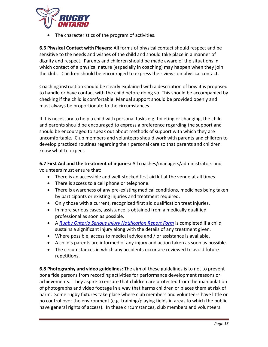

The characteristics of the program of activities.

**6.6 Physical Contact with Players:** All forms of physical contact should respect and be sensitive to the needs and wishes of the child and should take place in a manner of dignity and respect. Parents and children should be made aware of the situations in which contact of a physical nature (especially in coaching) may happen when they join the club. Children should be encouraged to express their views on physical contact.

Coaching instruction should be clearly explained with a description of how it is proposed to handle or have contact with the child before doing so. This should be accompanied by checking if the child is comfortable. Manual support should be provided openly and must always be proportionate to the circumstances.

If it is necessary to help a child with personal tasks e.g. toileting or changing, the child and parents should be encouraged to express a preference regarding the support and should be encouraged to speak out about methods of support with which they are uncomfortable. Club members and volunteers should work with parents and children to develop practiced routines regarding their personal care so that parents and children know what to expect.

**6.7 First Aid and the treatment of injuries:** All coaches/managers/administrators and volunteers must ensure that:

- There is an accessible and well-stocked first aid kit at the venue at all times.
- There is access to a cell phone or telephone.
- There is awareness of any pre-existing medical conditions, medicines being taken by participants or existing injuries and treatment required.
- Only those with a current, recognized first aid qualification treat injuries.
- In more serious cases, assistance is obtained from a medically qualified professional as soon as possible.
- A *[Rugby Ontario](http://www.rugbyontario.com/content_page/10034575/) Serious Injury Notification Report Form* is completed if a child sustains a significant injury along with the details of any treatment given.
- Where possible, access to medical advice and / or assistance is available.
- A child's parents are informed of any injury and action taken as soon as possible.
- The circumstances in which any accidents occur are reviewed to avoid future repetitions.

**6.8 Photography and video guidelines:** The aim of these guidelines is to not to prevent bona fide persons from recording activities for performance development reasons or achievements. They aspire to ensure that children are protected from the manipulation of photographs and video footage in a way that harms children or places them at risk of harm. Some rugby fixtures take place where club members and volunteers have little or no control over the environment (e.g. training/playing fields in areas to which the public have general rights of access). In these circumstances, club members and volunteers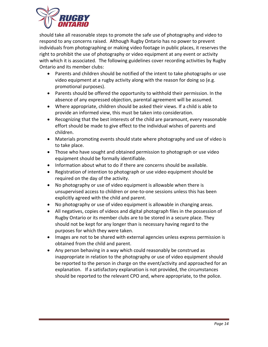

should take all reasonable steps to promote the safe use of photography and video to respond to any concerns raised. Although Rugby Ontario has no power to prevent individuals from photographing or making video footage in public places, it reserves the right to prohibit the use of photography or video equipment at any event or activity with which it is associated. The following guidelines cover recording activities by Rugby Ontario and its member clubs:

- Parents and children should be notified of the intent to take photographs or use video equipment at a rugby activity along with the reason for doing so (e.g. promotional purposes).
- Parents should be offered the opportunity to withhold their permission. In the absence of any expressed objection, parental agreement will be assumed.
- Where appropriate, children should be asked their views. If a child is able to provide an informed view, this must be taken into consideration.
- Recognizing that the best interests of the child are paramount, every reasonable effort should be made to give effect to the individual wishes of parents and children.
- Materials promoting events should state where photography and use of video is to take place.
- Those who have sought and obtained permission to photograph or use video equipment should be formally identifiable.
- Information about what to do if there are concerns should be available.
- Registration of intention to photograph or use video equipment should be required on the day of the activity.
- No photography or use of video equipment is allowable when there is unsupervised access to children or one-to-one sessions unless this has been explicitly agreed with the child and parent.
- No photography or use of video equipment is allowable in changing areas.
- All negatives, copies of videos and digital photograph files in the possession of Rugby Ontario or its member clubs are to be stored in a secure place. They should not be kept for any longer than is necessary having regard to the purposes for which they were taken.
- Images are not to be shared with external agencies unless express permission is obtained from the child and parent.
- Any person behaving in a way which could reasonably be construed as inappropriate in relation to the photography or use of video equipment should be reported to the person in charge on the event/activity and approached for an explanation. If a satisfactory explanation is not provided, the circumstances should be reported to the relevant CPO and, where appropriate, to the police.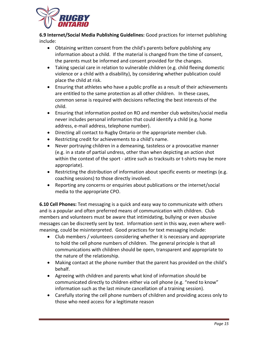

**6.9 Internet/Social Media Publishing Guidelines:** Good practices for internet publishing include:

- Obtaining written consent from the child's parents before publishing any information about a child. If the material is changed from the time of consent, the parents must be informed and consent provided for the changes.
- Taking special care in relation to vulnerable children (e.g. child fleeing domestic violence or a child with a disability), by considering whether publication could place the child at risk.
- Ensuring that athletes who have a public profile as a result of their achievements are entitled to the same protection as all other children. In these cases, common sense is required with decisions reflecting the best interests of the child.
- Ensuring that information posted on RO and member club websites/social media never includes personal information that could identify a child (e.g. home address, e-mail address, telephone number).
- Directing all contact to Rugby Ontario or the appropriate member club.
- Restricting credit for achievements to a child's name.
- Never portraying children in a demeaning, tasteless or a provocative manner (e.g. in a state of partial undress, other than when depicting an action shot within the context of the sport - attire such as tracksuits or t-shirts may be more appropriate).
- Restricting the distribution of information about specific events or meetings (e.g. coaching sessions) to those directly involved.
- Reporting any concerns or enquiries about publications or the internet/social media to the appropriate CPO.

**6.10 Cell Phones:** Text messaging is a quick and easy way to communicate with others and is a popular and often preferred means of communication with children. Club members and volunteers must be aware that intimidating, bullying or even abusive messages can be discreetly sent by text. Information sent in this way, even where wellmeaning, could be misinterpreted. Good practices for text messaging include:

- Club members / volunteers considering whether it is necessary and appropriate to hold the cell phone numbers of children. The general principle is that all communications with children should be open, transparent and appropriate to the nature of the relationship.
- Making contact at the phone number that the parent has provided on the child's behalf.
- Agreeing with children and parents what kind of information should be communicated directly to children either via cell phone (e.g. "need to know" information such as the last minute cancellation of a training session).
- Carefully storing the cell phone numbers of children and providing access only to those who need access for a legitimate reason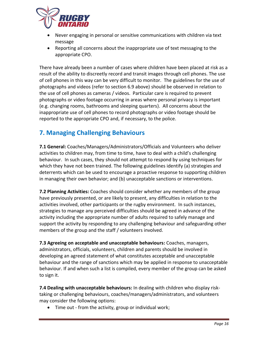

- Never engaging in personal or sensitive communications with children via text message
- Reporting all concerns about the inappropriate use of text messaging to the appropriate CPO.

There have already been a number of cases where children have been placed at risk as a result of the ability to discreetly record and transit images through cell phones. The use of cell phones in this way can be very difficult to monitor. The guidelines for the use of photographs and videos (refer to section 6.9 above) should be observed in relation to the use of cell phones as cameras / videos. Particular care is required to prevent photographs or video footage occurring in areas where personal privacy is important (e.g. changing rooms, bathrooms and sleeping quarters). All concerns about the inappropriate use of cell phones to record photographs or video footage should be reported to the appropriate CPO and, if necessary, to the police.

## **7. Managing Challenging Behaviours**

**7.1 General:** Coaches/Managers/Administrators/Officials and Volunteers who deliver activities to children may, from time to time, have to deal with a child's challenging behaviour. In such cases, they should not attempt to respond by using techniques for which they have not been trained. The following guidelines identify (a) strategies and deterrents which can be used to encourage a proactive response to supporting children in managing their own behavior; and (b) unacceptable sanctions or interventions.

**7.2 Planning Activities:** Coaches should consider whether any members of the group have previously presented, or are likely to present, any difficulties in relation to the activities involved, other participants or the rugby environment. In such instances, strategies to manage any perceived difficulties should be agreed in advance of the activity including the appropriate number of adults required to safely manage and support the activity by responding to any challenging behaviour and safeguarding other members of the group and the staff / volunteers involved.

**7.3 Agreeing on acceptable and unacceptable behaviours:** Coaches, managers, administrators, officials, volunteers, children and parents should be involved in developing an agreed statement of what constitutes acceptable and unacceptable behaviour and the range of sanctions which may be applied in response to unacceptable behaviour. If and when such a list is compiled, every member of the group can be asked to sign it.

**7.4 Dealing with unacceptable behaviours:** In dealing with children who display risktaking or challenging behaviours, coaches/managers/administrators, and volunteers may consider the following options:

• Time out - from the activity, group or individual work;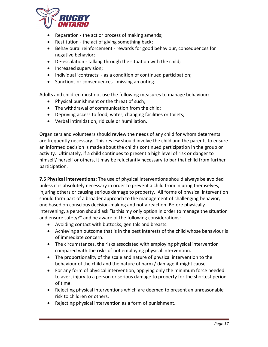

- Reparation the act or process of making amends;
- Restitution the act of giving something back;
- Behavioural reinforcement rewards for good behaviour, consequences for negative behavior;
- De-escalation talking through the situation with the child;
- Increased supervision;
- Individual 'contracts' as a condition of continued participation;
- Sanctions or consequences missing an outing.

Adults and children must not use the following measures to manage behaviour:

- Physical punishment or the threat of such;
- The withdrawal of communication from the child;
- Depriving access to food, water, changing facilities or toilets;
- Verbal intimidation, ridicule or humiliation.

Organizers and volunteers should review the needs of any child for whom deterrents are frequently necessary. This review should involve the child and the parents to ensure an informed decision is made about the child's continued participation in the group or activity. Ultimately, if a child continues to present a high level of risk or danger to himself/ herself or others, it may be reluctantly necessary to bar that child from further participation.

**7.5 Physical interventions:** The use of physical interventions should always be avoided unless it is absolutely necessary in order to prevent a child from injuring themselves, injuring others or causing serious damage to property. All forms of physical intervention should form part of a broader approach to the management of challenging behavior, one based on conscious decision-making and not a reaction. Before physically intervening, a person should ask "Is this my only option in order to manage the situation and ensure safety?" and be aware of the following considerations:

- Avoiding contact with buttocks, genitals and breasts.
- Achieving an outcome that is in the best interests of the child whose behaviour is of immediate concern.
- The circumstances, the risks associated with employing physical intervention compared with the risks of not employing physical intervention.
- The proportionality of the scale and nature of physical intervention to the behaviour of the child and the nature of harm / damage it might cause.
- For any form of physical intervention, applying only the minimum force needed to avert injury to a person or serious damage to property for the shortest period of time.
- Rejecting physical interventions which are deemed to present an unreasonable risk to children or others.
- Rejecting physical intervention as a form of punishment.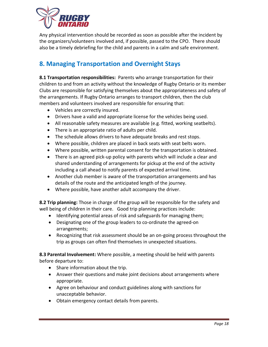

Any physical intervention should be recorded as soon as possible after the incident by the organizers/volunteers involved and, if possible, passed to the CPO. There should also be a timely debriefing for the child and parents in a calm and safe environment.

## **8. Managing Transportation and Overnight Stays**

**8.1 Transportation responsibilities:** Parents who arrange transportation for their children to and from an activity without the knowledge of Rugby Ontario or its member Clubs are responsible for satisfying themselves about the appropriateness and safety of the arrangements. If Rugby Ontario arranges to transport children, then the club members and volunteers involved are responsible for ensuring that:

- Vehicles are correctly insured.
- Drivers have a valid and appropriate license for the vehicles being used.
- All reasonable safety measures are available (e.g. fitted, working seatbelts).
- There is an appropriate ratio of adults per child.
- The schedule allows drivers to have adequate breaks and rest stops.
- Where possible, children are placed in back seats with seat belts worn.
- Where possible, written parental consent for the transportation is obtained.
- There is an agreed pick-up policy with parents which will include a clear and shared understanding of arrangements for pickup at the end of the activity including a call ahead to notify parents of expected arrival time.
- Another club member is aware of the transportation arrangements and has details of the route and the anticipated length of the journey.
- Where possible, have another adult accompany the driver.

**8.2 Trip planning:** Those in charge of the group will be responsible for the safety and well being of children in their care. Good trip planning practices include:

- Identifying potential areas of risk and safeguards for managing them;
- Designating one of the group leaders to co-ordinate the agreed-on arrangements;
- Recognizing that risk assessment should be an on-going process throughout the trip as groups can often find themselves in unexpected situations.

**8.3 Parental Involvement:** Where possible, a meeting should be held with parents before departure to:

- Share information about the trip.
- Answer their questions and make joint decisions about arrangements where appropriate.
- Agree on behaviour and conduct guidelines along with sanctions for unacceptable behavior.
- Obtain emergency contact details from parents.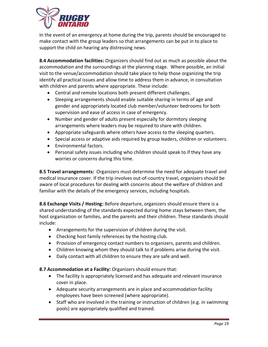

In the event of an emergency at home during the trip, parents should be encouraged to make contact with the group leaders so that arrangements can be put in to place to support the child on hearing any distressing news.

**8.4 Accommodation facilities:** Organizers should find out as much as possible about the accommodation and the surroundings at the planning stage. Where possible, an initial visit to the venue/accommodation should take place to help those organizing the trip identify all practical issues and allow time to address them in advance, in consultation with children and parents where appropriate. These include:

- Central and remote locations both present different challenges.
- Sleeping arrangements should enable suitable sharing in terms of age and gender and appropriately located club member/volunteer bedrooms for both supervision and ease of access in case of emergency.
- Number and gender of adults present especially for dormitory sleeping arrangements where leaders may be required to share with children.
- Appropriate safeguards where others have access to the sleeping quarters.
- Special access or adaptive aids required by group leaders, children or volunteers.
- Environmental factors.
- Personal safety issues including who children should speak to if they have any worries or concerns during this time.

**8.5 Travel arrangements:** Organizers must determine the need for adequate travel and medical insurance cover. If the trip involves out-of-country travel, organizers should be aware of local procedures for dealing with concerns about the welfare of children and familiar with the details of the emergency services, including hospitals.

**8.6 Exchange Visits / Hosting:** Before departure, organizers should ensure there is a shared understanding of the standards expected during home stays between them, the host organization or families, and the parents and their children. These standards should include:

- Arrangements for the supervision of children during the visit.
- Checking host family references by the hosting club.
- Provision of emergency contact numbers to organizers, parents and children.
- Children knowing whom they should talk to if problems arise during the visit.
- Daily contact with all children to ensure they are safe and well.

**8.7 Accommodation at a Facility:** Organizers should ensure that:

- The facility is appropriately licensed and has adequate and relevant insurance cover in place.
- Adequate security arrangements are in place and accommodation facility employees have been screened (where appropriate).
- Staff who are involved in the training or instruction of children (e.g. in swimming pools) are appropriately qualified and trained.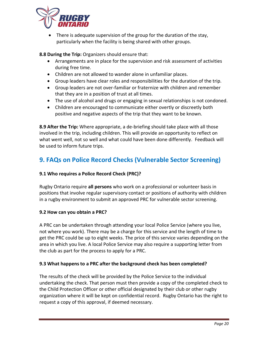

There is adequate supervision of the group for the duration of the stay, particularly when the facility is being shared with other groups.

**8.8 During the Trip:** Organizers should ensure that:

- Arrangements are in place for the supervision and risk assessment of activities during free time.
- Children are not allowed to wander alone in unfamiliar places.
- Group leaders have clear roles and responsibilities for the duration of the trip.
- Group leaders are not over-familiar or fraternize with children and remember that they are in a position of trust at all times.
- The use of alcohol and drugs or engaging in sexual relationships is not condoned.
- Children are encouraged to communicate either overtly or discreetly both positive and negative aspects of the trip that they want to be known.

**8.9 After the Trip:** Where appropriate, a de-briefing should take place with all those involved in the trip, including children. This will provide an opportunity to reflect on what went well, not so well and what could have been done differently. Feedback will be used to inform future trips.

## **9. FAQs on Police Record Checks (Vulnerable Sector Screening)**

## **9.1 Who requires a Police Record Check (PRC)?**

Rugby Ontario require **all persons** who work on a professional or volunteer basis in positions that involve regular supervisory contact or positions of authority with children in a rugby environment to submit an approved PRC for vulnerable sector screening.

### **9.2 How can you obtain a PRC?**

A PRC can be undertaken through attending your local Police Service (where you live, not where you work). There may be a charge for this service and the length of time to get the PRC could be up to eight weeks. The price of this service varies depending on the area in which you live. A local Police Service may also require a supporting letter from the club as part for the process to apply for a PRC.

### **9.3 What happens to a PRC after the background check has been completed?**

The results of the check will be provided by the Police Service to the individual undertaking the check. That person must then provide a copy of the completed check to the Child Protection Officer or other official designated by their club or other rugby organization where it will be kept on confidential record. Rugby Ontario has the right to request a copy of this approval, if deemed necessary.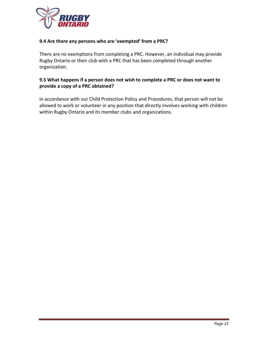

#### **9.4 Are there any persons who are 'exempted' from a PRC?**

There are no exemptions from completing a PRC. However, an individual may provide Rugby Ontario or their club with a PRC that has been completed through another organization.

#### **9.5 What happens if a person does not wish to complete a PRC or does not want to provide a copy of a PRC obtained?**

In accordance with our Child Protection Policy and Procedures, that person will not be allowed to work or volunteer in any position that directly involves working with children within Rugby Ontario and its member clubs and organizations.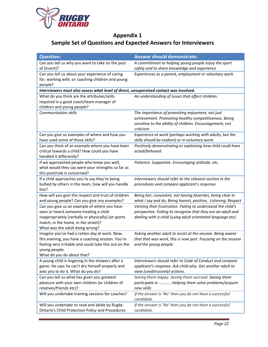

## **Appendix 1 Sample Set of Questions and Expected Answers for Interviewers**

| <b>Question:</b>                                                                                                                                                                                                        | <b>Answer should demonstrate:</b>                                                                                                                                                           |  |
|-------------------------------------------------------------------------------------------------------------------------------------------------------------------------------------------------------------------------|---------------------------------------------------------------------------------------------------------------------------------------------------------------------------------------------|--|
| Can you tell us why you want to take on the post<br>of [insert]?                                                                                                                                                        | A commitment to helping young people enjoy the sport<br>safely and to share knowledge and experience                                                                                        |  |
| Can you tell us about your experience of caring<br>for, working with, or coaching children and young<br>people?                                                                                                         | Experiences as a parent, employment or voluntary work.                                                                                                                                      |  |
| Interviewers must also assess what level of direct, unsupervised contact was involved.                                                                                                                                  |                                                                                                                                                                                             |  |
| What do you think are the attributes/skills<br>required in a good coach/team manager of<br>children and young people?                                                                                                   | An understanding of issues that affect children.                                                                                                                                            |  |
| <b>Communication skills</b>                                                                                                                                                                                             | The importance of promoting enjoyment, not just<br>achievement. Promoting healthy competitiveness. Being<br>sensitive to the ability of children. Encouragement, not<br>criticism           |  |
| Can you give us examples of where and how you<br>have used some of those skills?                                                                                                                                        | Experience at work (perhaps working with adults, but the<br>skills should be evident) or in voluntary work.                                                                                 |  |
| Can you think of an example where you have been<br>critical towards a child? How could you have<br>handled it differently?                                                                                              | Positively demonstrating or explaining how child could have<br>acted/behaved.                                                                                                               |  |
| If we approached people who know you well,<br>what would they say were your strengths so far as<br>this post/role is concerned?                                                                                         | Patience. Supportive. Encouraging attitude, etc.                                                                                                                                            |  |
| If a child approaches you to say they're being<br>bullied by others in the team, how will you handle<br>this?                                                                                                           | Interviewers should refer to the relevant section in the<br>procedures and compare applicant's response.                                                                                    |  |
| How will you gain the respect and trust of children<br>and young people? Can you give any examples?                                                                                                                     | Being fair, consistent, not having favorites, being clear in<br>what I say and do, Being honest, positive,. Listening, Respect                                                              |  |
| Can you give us an example of where you have<br>seen or heard someone treating a child<br>inappropriately (verbally or physically) (at sports<br>match, in the home, in the street)?<br>What was the adult doing wrong? | Venting their frustration. Failing to understand the child's<br>perspective. Failing to recognize that they are an adult and<br>dealing with a child (using adult orientated language etc). |  |
| Imagine you've had a rotten day at work. Now,<br>this evening, you have a coaching session. You're<br>feeling very irritable and could take this out on the<br>young people.<br>What do you do about that?              | Asking another adult to assist at the session. Being aware<br>that that was work, this is now port. Focusing on the session<br>and the young people.                                        |  |
| A young child is lingering in the showers after a<br>game. He says he can't dry himself properly and<br>asks you to do it. What do you do?                                                                              | Interviewers should refer to Code of Conduct and compare<br>applicant's response. Ask child why. Get another adult to<br>view (unobtrusively) actions.                                      |  |
| Can you tell us what has given you greatest<br>pleasure with your own children (or children of<br>relatives/friends etc)?                                                                                               | Seeing them happy. Seeing them succeed. Seeing them<br>participate in  Helping them solve problems/acquire<br>new skills                                                                    |  |
| Will you undertake training sessions for coaches?                                                                                                                                                                       | If the answer is 'No' then you do not have a successful<br>candidate.                                                                                                                       |  |
| Will you undertake to read and abide by Rugby<br>Ontario's Child Protection Policy and Procedures                                                                                                                       | If the answer is 'No' then you do not have a successful<br>candidate.                                                                                                                       |  |